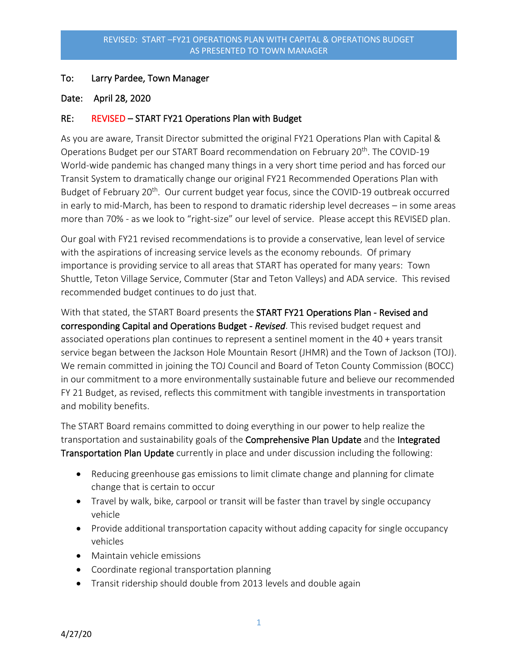## To: Larry Pardee, Town Manager

## Date: April 28, 2020

## RE: REVISED – START FY21 Operations Plan with Budget

As you are aware, Transit Director submitted the original FY21 Operations Plan with Capital & Operations Budget per our START Board recommendation on February 20<sup>th</sup>. The COVID-19 World-wide pandemic has changed many things in a very short time period and has forced our Transit System to dramatically change our original FY21 Recommended Operations Plan with Budget of February 20<sup>th</sup>. Our current budget year focus, since the COVID-19 outbreak occurred in early to mid-March, has been to respond to dramatic ridership level decreases – in some areas more than 70% - as we look to "right-size" our level of service. Please accept this REVISED plan.

Our goal with FY21 revised recommendations is to provide a conservative, lean level of service with the aspirations of increasing service levels as the economy rebounds. Of primary importance is providing service to all areas that START has operated for many years: Town Shuttle, Teton Village Service, Commuter (Star and Teton Valleys) and ADA service. This revised recommended budget continues to do just that.

With that stated, the START Board presents the **START FY21 Operations Plan - Revised and** corresponding Capital and Operations Budget - *Revised*. This revised budget request and associated operations plan continues to represent a sentinel moment in the 40 + years transit service began between the Jackson Hole Mountain Resort (JHMR) and the Town of Jackson (TOJ). We remain committed in joining the TOJ Council and Board of Teton County Commission (BOCC) in our commitment to a more environmentally sustainable future and believe our recommended FY 21 Budget, as revised, reflects this commitment with tangible investments in transportation and mobility benefits.

The START Board remains committed to doing everything in our power to help realize the transportation and sustainability goals of the Comprehensive Plan Update and the Integrated Transportation Plan Update currently in place and under discussion including the following:

- Reducing greenhouse gas emissions to limit climate change and planning for climate change that is certain to occur
- Travel by walk, bike, carpool or transit will be faster than travel by single occupancy vehicle
- Provide additional transportation capacity without adding capacity for single occupancy vehicles
- Maintain vehicle emissions
- Coordinate regional transportation planning
- Transit ridership should double from 2013 levels and double again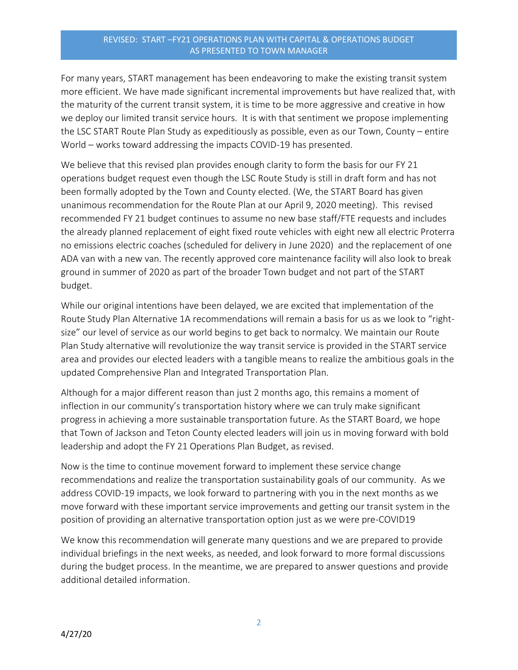For many years, START management has been endeavoring to make the existing transit system more efficient. We have made significant incremental improvements but have realized that, with the maturity of the current transit system, it is time to be more aggressive and creative in how we deploy our limited transit service hours. It is with that sentiment we propose implementing the LSC START Route Plan Study as expeditiously as possible, even as our Town, County – entire World – works toward addressing the impacts COVID-19 has presented.

We believe that this revised plan provides enough clarity to form the basis for our FY 21 operations budget request even though the LSC Route Study is still in draft form and has not been formally adopted by the Town and County elected. (We, the START Board has given unanimous recommendation for the Route Plan at our April 9, 2020 meeting). This revised recommended FY 21 budget continues to assume no new base staff/FTE requests and includes the already planned replacement of eight fixed route vehicles with eight new all electric Proterra no emissions electric coaches (scheduled for delivery in June 2020) and the replacement of one ADA van with a new van. The recently approved core maintenance facility will also look to break ground in summer of 2020 as part of the broader Town budget and not part of the START budget.

While our original intentions have been delayed, we are excited that implementation of the Route Study Plan Alternative 1A recommendations will remain a basis for us as we look to "rightsize" our level of service as our world begins to get back to normalcy. We maintain our Route Plan Study alternative will revolutionize the way transit service is provided in the START service area and provides our elected leaders with a tangible means to realize the ambitious goals in the updated Comprehensive Plan and Integrated Transportation Plan.

Although for a major different reason than just 2 months ago, this remains a moment of inflection in our community's transportation history where we can truly make significant progress in achieving a more sustainable transportation future. As the START Board, we hope that Town of Jackson and Teton County elected leaders will join us in moving forward with bold leadership and adopt the FY 21 Operations Plan Budget, as revised.

Now is the time to continue movement forward to implement these service change recommendations and realize the transportation sustainability goals of our community. As we address COVID-19 impacts, we look forward to partnering with you in the next months as we move forward with these important service improvements and getting our transit system in the position of providing an alternative transportation option just as we were pre-COVID19

We know this recommendation will generate many questions and we are prepared to provide individual briefings in the next weeks, as needed, and look forward to more formal discussions during the budget process. In the meantime, we are prepared to answer questions and provide additional detailed information.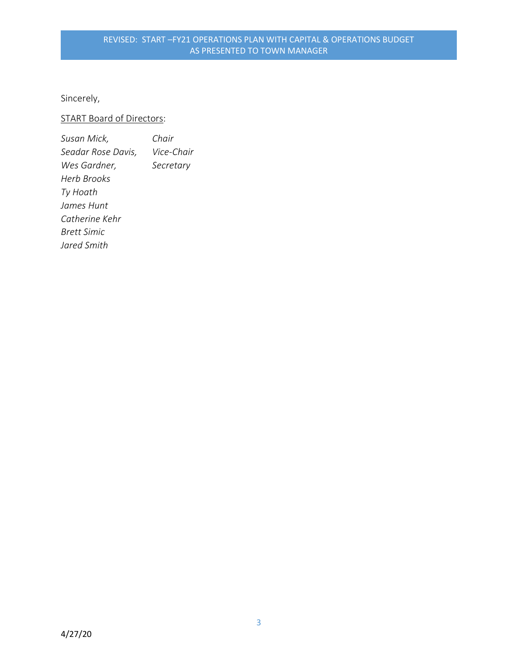Sincerely,

## START Board of Directors:

| Susan Mick,        | Chair      |
|--------------------|------------|
| Seadar Rose Davis, | Vice-Chair |
| Wes Gardner,       | Secretary  |
| Herb Brooks        |            |
| Ty Hoath           |            |
| James Hunt         |            |
| Catherine Kehr     |            |
| <b>Brett Simic</b> |            |
| Jared Smith        |            |
|                    |            |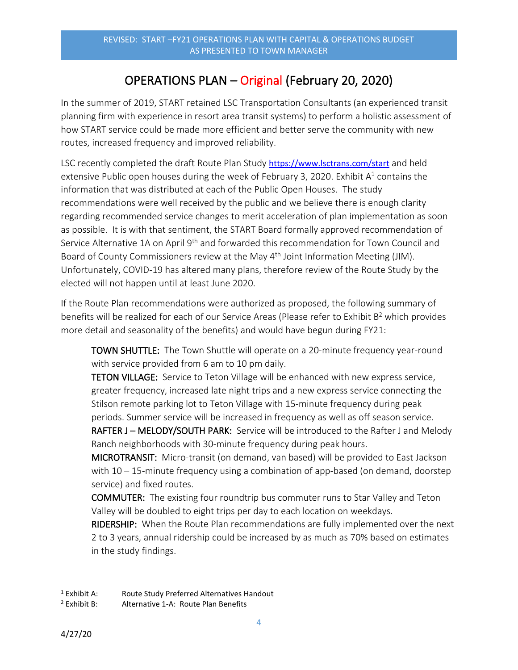## OPERATIONS PLAN – Original (February 20, 2020)

In the summer of 2019, START retained LSC Transportation Consultants (an experienced transit planning firm with experience in resort area transit systems) to perform a holistic assessment of how START service could be made more efficient and better serve the community with new routes, increased frequency and improved reliability.

LSC recently completed the draft Route Plan Study <https://www.lsctrans.com/start> and held extensive Public open houses during the week of February 3, 2020. Exhibit  $A^1$  contains the information that was distributed at each of the Public Open Houses. The study recommendations were well received by the public and we believe there is enough clarity regarding recommended service changes to merit acceleration of plan implementation as soon as possible. It is with that sentiment, the START Board formally approved recommendation of Service Alternative 1A on April 9<sup>th</sup> and forwarded this recommendation for Town Council and Board of County Commissioners review at the May 4<sup>th</sup> Joint Information Meeting (JIM). Unfortunately, COVID-19 has altered many plans, therefore review of the Route Study by the elected will not happen until at least June 2020.

If the Route Plan recommendations were authorized as proposed, the following summary of benefits will be realized for each of our Service Areas (Please refer to Exhibit B<sup>2</sup> which provides more detail and seasonality of the benefits) and would have begun during FY21:

TOWN SHUTTLE: The Town Shuttle will operate on a 20-minute frequency year-round with service provided from 6 am to 10 pm daily.

TETON VILLAGE: Service to Teton Village will be enhanced with new express service, greater frequency, increased late night trips and a new express service connecting the Stilson remote parking lot to Teton Village with 15-minute frequency during peak periods. Summer service will be increased in frequency as well as off season service. RAFTER J - MELODY/SOUTH PARK: Service will be introduced to the Rafter J and Melody

Ranch neighborhoods with 30-minute frequency during peak hours. MICROTRANSIT: Micro-transit (on demand, van based) will be provided to East Jackson with  $10 - 15$ -minute frequency using a combination of app-based (on demand, doorstep service) and fixed routes.

COMMUTER: The existing four roundtrip bus commuter runs to Star Valley and Teton Valley will be doubled to eight trips per day to each location on weekdays.

RIDERSHIP: When the Route Plan recommendations are fully implemented over the next 2 to 3 years, annual ridership could be increased by as much as 70% based on estimates in the study findings.

<sup>&</sup>lt;sup>1</sup> Exhibit A: Route Study Preferred Alternatives Handout

<sup>&</sup>lt;sup>2</sup> Exhibit B: Alternative 1-A: Route Plan Benefits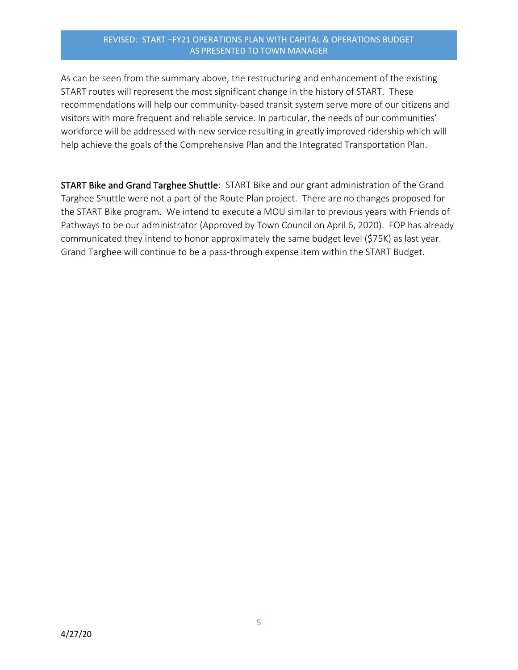As can be seen from the summary above, the restructuring and enhancement of the existing START routes will represent the most significant change in the history of START. These recommendations will help our community-based transit system serve more of our citizens and visitors with more frequent and reliable service. In particular, the needs of our communities' workforce will be addressed with new service resulting in greatly improved ridership which will help achieve the goals of the Comprehensive Plan and the Integrated Transportation Plan.

START Bike and Grand Targhee Shuttle: START Bike and our grant administration of the Grand Targhee Shuttle were not a part of the Route Plan project. There are no changes proposed for the START Bike program. We intend to execute a MOU similar to previous years with Friends of Pathways to be our administrator (Approved by Town Council on April 6, 2020). FOP has already communicated they intend to honor approximately the same budget level (\$75K) as last year. Grand Targhee will continue to be a pass-through expense item within the START Budget.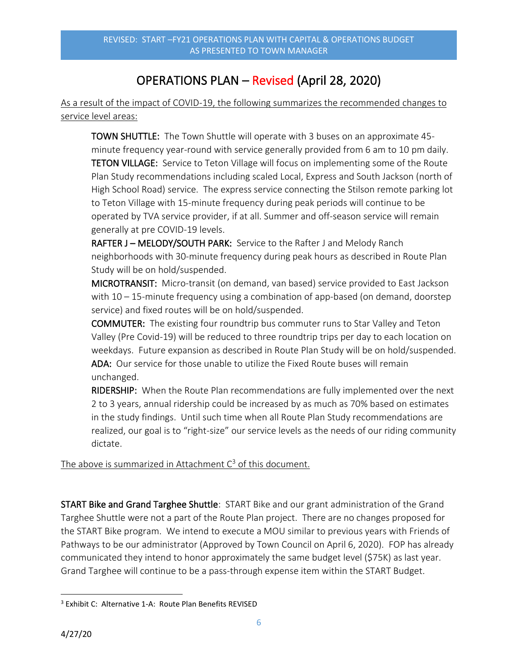## OPERATIONS PLAN – Revised (April 28, 2020)

As a result of the impact of COVID-19, the following summarizes the recommended changes to service level areas:

TOWN SHUTTLE: The Town Shuttle will operate with 3 buses on an approximate 45 minute frequency year-round with service generally provided from 6 am to 10 pm daily. TETON VILLAGE: Service to Teton Village will focus on implementing some of the Route Plan Study recommendations including scaled Local, Express and South Jackson (north of High School Road) service. The express service connecting the Stilson remote parking lot to Teton Village with 15-minute frequency during peak periods will continue to be operated by TVA service provider, if at all. Summer and off-season service will remain generally at pre COVID-19 levels.

RAFTER J - MELODY/SOUTH PARK: Service to the Rafter J and Melody Ranch neighborhoods with 30-minute frequency during peak hours as described in Route Plan Study will be on hold/suspended.

MICROTRANSIT: Micro-transit (on demand, van based) service provided to East Jackson with 10 – 15-minute frequency using a combination of app-based (on demand, doorstep service) and fixed routes will be on hold/suspended.

COMMUTER: The existing four roundtrip bus commuter runs to Star Valley and Teton Valley (Pre Covid-19) will be reduced to three roundtrip trips per day to each location on weekdays. Future expansion as described in Route Plan Study will be on hold/suspended. ADA: Our service for those unable to utilize the Fixed Route buses will remain unchanged.

RIDERSHIP: When the Route Plan recommendations are fully implemented over the next 2 to 3 years, annual ridership could be increased by as much as 70% based on estimates in the study findings. Until such time when all Route Plan Study recommendations are realized, our goal is to "right-size" our service levels as the needs of our riding community dictate.

The above is summarized in Attachment  $C<sup>3</sup>$  of this document.

START Bike and Grand Targhee Shuttle: START Bike and our grant administration of the Grand Targhee Shuttle were not a part of the Route Plan project. There are no changes proposed for the START Bike program. We intend to execute a MOU similar to previous years with Friends of Pathways to be our administrator (Approved by Town Council on April 6, 2020). FOP has already communicated they intend to honor approximately the same budget level (\$75K) as last year. Grand Targhee will continue to be a pass-through expense item within the START Budget.

<sup>3</sup> Exhibit C: Alternative 1-A: Route Plan Benefits REVISED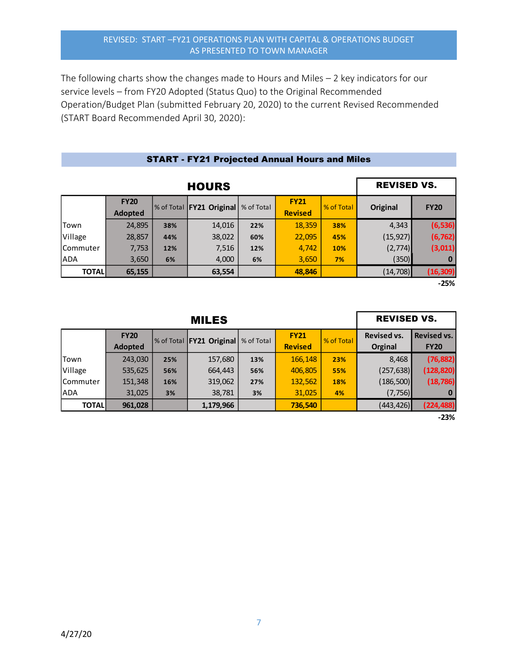The following charts show the changes made to Hours and Miles – 2 key indicators for our service levels – from FY20 Adopted (Status Quo) to the Original Recommended Operation/Budget Plan (submitted February 20, 2020) to the current Revised Recommended (START Board Recommended April 30, 2020):

| <b>HOURS</b> |                               |     |                            |            |                               |            |           | <b>REVISED VS.</b> |
|--------------|-------------------------------|-----|----------------------------|------------|-------------------------------|------------|-----------|--------------------|
|              | <b>FY20</b><br><b>Adopted</b> |     | % of Total   FY21 Original | % of Total | <b>FY21</b><br><b>Revised</b> | % of Total | Original  | <b>FY20</b>        |
| Town         | 24,895                        | 38% | 14,016                     | 22%        | 18,359                        | 38%        | 4,343     | (6, 536)           |
| Village      | 28,857                        | 44% | 38,022                     | 60%        | 22,095                        | 45%        | (15, 927) | (6, 762)           |
| Commuter     | 7,753                         | 12% | 7,516                      | 12%        | 4,742                         | 10%        | (2,774)   | (3,011)            |
| <b>ADA</b>   | 3,650                         | 6%  | 4,000                      | 6%         | 3,650                         | 7%         | (350)     | 0                  |
| <b>TOTAL</b> | 65,155                        |     | 63,554                     |            | 48,846                        |            | (14, 708) | (16, 309)          |
|              |                               |     |                            |            |                               |            |           | $-25%$             |

### START - FY21 Projected Annual Hours and Miles

Town 243,030 **25%** 157,680 **13%** 166,148 **23%** 8,468 **(76,882)** Village 535,625 **56%** 664,443 **56%** 406,805 **55%** (257,638) **(128,820)** Commuter 151,348 **16%** 319,062 **27%** 132,562 **18%** (186,500) **(18,786)** ADA 31,025 **3 %** 38,781 **3 %** 31,025 **4 %** (7,756) **0 TOTAL 961,028 1,179,966 736,540** (443,426) **(224,488) RY20 Adopted FX21 Criginal Adopted FX21 EXECU Revised FX21 EXECU Revised FX21 Revised FX21 Revised FX21 Revised EXECU Revised vs. Orginal FY20 Revised Revised vs. FY20** MILES REVISED VS.

**-23%**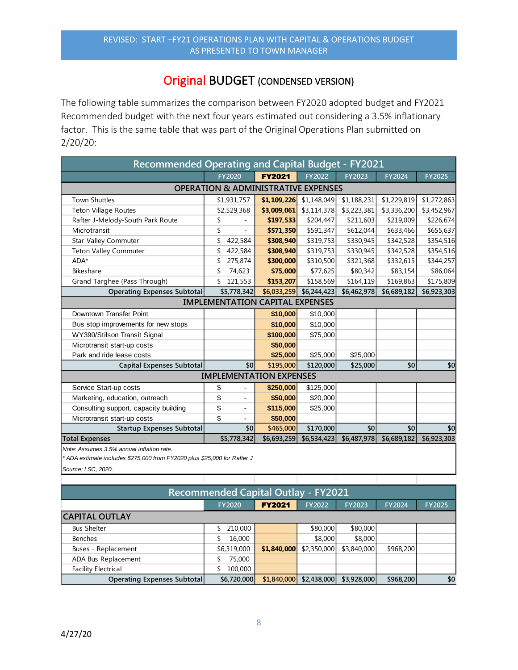## Original BUDGET (CONDENSED VERSION)

The following table summarizes the comparison between FY2020 adopted budget and FY2021 Recommended budget with the next four years estimated out considering a 3.5% inflationary factor. This is the same table that was part of the Original Operations Plan submitted on 2/20/20:

| <b>Recommended Operating and Capital Budget - FY2021</b> |                                                |               |             |             |             |               |  |  |  |
|----------------------------------------------------------|------------------------------------------------|---------------|-------------|-------------|-------------|---------------|--|--|--|
|                                                          | <b>FY2020</b>                                  | <b>FY2021</b> | FY2022      | FY2023      | FY2024      | <b>FY2025</b> |  |  |  |
|                                                          | <b>OPERATION &amp; ADMINISTRATIVE EXPENSES</b> |               |             |             |             |               |  |  |  |
| <b>Town Shuttles</b>                                     | \$1,931,757                                    | \$1,109,226   | \$1,148,049 | \$1,188,231 | \$1,229,819 | \$1,272,863   |  |  |  |
| <b>Teton Village Routes</b>                              | \$2,529,368                                    | \$3,009,061   | \$3,114,378 | \$3,223,381 | \$3,336,200 | \$3,452,967   |  |  |  |
| Rafter J-Melody-South Park Route                         | \$                                             | \$197,533     | \$204,447   | \$211,603   | \$219,009   | \$226,674     |  |  |  |
| Microtransit                                             | \$                                             | \$571,350     | \$591,347   | \$612,044   | \$633,466   | \$655,637     |  |  |  |
| Star Valley Commuter                                     | \$<br>422,584                                  | \$308,940     | \$319,753   | \$330,945   | \$342,528   | \$354,516     |  |  |  |
| <b>Teton Valley Commuter</b>                             | 422,584                                        | \$308,940     | \$319,753   | \$330,945   | \$342,528   | \$354,516     |  |  |  |
| ADA*                                                     | 275,874                                        | \$300,000     | \$310,500   | \$321,368   | \$332,615   | \$344,257     |  |  |  |
| Bikeshare                                                | \$<br>74,623                                   | \$75,000      | \$77,625    | \$80,342    | \$83,154    | \$86,064      |  |  |  |
| Grand Targhee (Pass Through)                             | 121,553<br>\$                                  | \$153,207     | \$158,569   | \$164,119   | \$169,863   | \$175,809     |  |  |  |
| <b>Operating Expenses Subtotal</b>                       | \$5,778,342                                    | \$6,033,259   | \$6,244,423 | \$6,462,978 | \$6,689,182 | \$6,923,303   |  |  |  |
|                                                          | <b>IMPLEMENTATION CAPITAL EXPENSES</b>         |               |             |             |             |               |  |  |  |
| Downtown Transfer Point                                  |                                                | \$10,000      | \$10,000    |             |             |               |  |  |  |
| Bus stop improvements for new stops                      |                                                | \$10,000      | \$10,000    |             |             |               |  |  |  |
| WY390/Stilson Transit Signal                             |                                                | \$100,000     | \$75,000    |             |             |               |  |  |  |
| Microtransit start-up costs                              |                                                | \$50,000      |             |             |             |               |  |  |  |
| Park and ride lease costs                                |                                                | \$25,000      | \$25,000    | \$25,000    |             |               |  |  |  |
| <b>Capital Expenses Subtotal</b>                         | \$0                                            | \$195,000     | \$120,000   | \$25,000    | \$0         | \$0           |  |  |  |
|                                                          | <b>IMPLEMENTATION EXPENSES</b>                 |               |             |             |             |               |  |  |  |
| Service Start-up costs                                   | \$                                             | \$250,000     | \$125,000   |             |             |               |  |  |  |
| Marketing, education, outreach                           | \$                                             | \$50,000      | \$20,000    |             |             |               |  |  |  |
| Consulting support, capacity building                    | \$<br>$\overline{\phantom{0}}$                 | \$115,000     | \$25,000    |             |             |               |  |  |  |
| Microtransit start-up costs                              | \$<br>٠                                        | \$50,000      |             |             |             |               |  |  |  |
| <b>Startup Expenses Subtotal</b>                         | \$0                                            | \$465,000     | \$170,000   | \$0         | \$0         | \$0           |  |  |  |
| <b>Total Expenses</b>                                    | \$5,778,342                                    | \$6,693,259   | \$6,534,423 | \$6,487,978 | \$6,689,182 | \$6,923,303   |  |  |  |
| Note: Assumes 3.5% annual inflation rate                 |                                                |               |             |             |             |               |  |  |  |

*\* ADA estimate includes \$275,000 from FY2020 plus \$25,000 for Rafter J*

*Source: LSC, 2020.*

| <b>Recommended Capital Outlay - FY2021</b>                                                  |             |             |             |             |           |     |  |  |  |  |
|---------------------------------------------------------------------------------------------|-------------|-------------|-------------|-------------|-----------|-----|--|--|--|--|
| <b>FY2021</b><br><b>FY2025</b><br>FY2022<br><b>FY2023</b><br><b>FY2024</b><br><b>FY2020</b> |             |             |             |             |           |     |  |  |  |  |
| <b>CAPITAL OUTLAY</b>                                                                       |             |             |             |             |           |     |  |  |  |  |
| <b>Bus Shelter</b>                                                                          | 210,000     |             | \$80,000    | \$80,000    |           |     |  |  |  |  |
| Benches                                                                                     | 16,000      |             | \$8,000     | \$8,000     |           |     |  |  |  |  |
| Buses - Replacement                                                                         | \$6,319,000 | \$1,840,000 | \$2,350,000 | \$3,840,000 | \$968,200 |     |  |  |  |  |
| ADA Bus Replacement                                                                         | 75,000      |             |             |             |           |     |  |  |  |  |
| <b>Facility Electrical</b>                                                                  | 100,000     |             |             |             |           |     |  |  |  |  |
| Operating Expenses Subtotal                                                                 | \$6,720,000 | \$1,840,000 | \$2,438,000 | \$3,928,000 | \$968,200 | \$0 |  |  |  |  |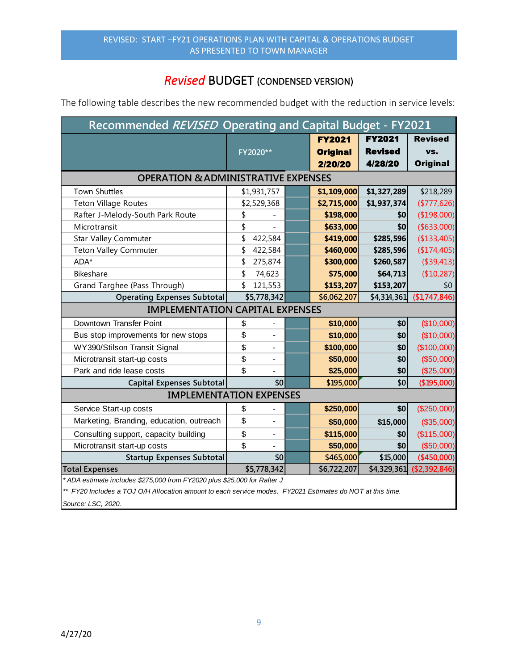## *Revised* BUDGET (CONDENSED VERSION)

The following table describes the new recommended budget with the reduction in service levels:

| Recommended REVISED Operating and Capital Budget - FY2021                                                 |    |                          |  |                 |                |                 |  |  |
|-----------------------------------------------------------------------------------------------------------|----|--------------------------|--|-----------------|----------------|-----------------|--|--|
|                                                                                                           |    |                          |  | <b>FY2021</b>   | <b>FY2021</b>  | <b>Revised</b>  |  |  |
|                                                                                                           |    | FY2020**                 |  | <b>Original</b> | <b>Revised</b> | VS.             |  |  |
|                                                                                                           |    |                          |  | 2/20/20         | 4/28/20        | <b>Original</b> |  |  |
| <b>OPERATION &amp; ADMINISTRATIVE EXPENSES</b>                                                            |    |                          |  |                 |                |                 |  |  |
| <b>Town Shuttles</b>                                                                                      |    | \$1,931,757              |  | \$1,109,000     | \$1,327,289    | \$218,289       |  |  |
| <b>Teton Village Routes</b>                                                                               |    | \$2,529,368              |  | \$2,715,000     | \$1,937,374    | ( \$777, 626)   |  |  |
| Rafter J-Melody-South Park Route                                                                          | \$ |                          |  | \$198,000       | \$0            | (\$198,000)     |  |  |
| Microtransit                                                                                              | \$ |                          |  | \$633,000       | \$0            | ( \$633,000)    |  |  |
| <b>Star Valley Commuter</b>                                                                               | \$ | 422,584                  |  | \$419,000       | \$285,596      | (\$133,405)     |  |  |
| <b>Teton Valley Commuter</b>                                                                              | \$ | 422,584                  |  | \$460,000       | \$285,596      | (\$174,405)     |  |  |
| ADA*                                                                                                      | \$ | 275,874                  |  | \$300,000       | \$260,587      | (\$39,413)      |  |  |
| Bikeshare                                                                                                 | \$ | 74,623                   |  | \$75,000        | \$64,713       | (\$10,287)      |  |  |
| Grand Targhee (Pass Through)                                                                              | \$ | 121,553                  |  | \$153,207       | \$153,207      | \$0             |  |  |
| <b>Operating Expenses Subtotal</b>                                                                        |    | \$5,778,342              |  | \$6,062,207     | \$4,314,361    | (\$1,747,846)   |  |  |
| <b>IMPLEMENTATION CAPITAL EXPENSES</b>                                                                    |    |                          |  |                 |                |                 |  |  |
| Downtown Transfer Point                                                                                   | \$ |                          |  | \$10,000        | \$0            | (\$10,000)      |  |  |
| Bus stop improvements for new stops                                                                       | \$ | $\overline{\phantom{a}}$ |  | \$10,000        | \$0            | (\$10,000)      |  |  |
| WY390/Stilson Transit Signal                                                                              | \$ |                          |  | \$100,000       | \$0            | (\$100,000)     |  |  |
| Microtransit start-up costs                                                                               | \$ |                          |  | \$50,000        | \$0            | (\$50,000)      |  |  |
| Park and ride lease costs                                                                                 | \$ |                          |  | \$25,000        | \$0            | (\$25,000)      |  |  |
| <b>Capital Expenses Subtotal</b>                                                                          |    | \$0                      |  | \$195,000       | \$0            | (\$195,000)     |  |  |
| <b>IMPLEMENTATION EXPENSES</b>                                                                            |    |                          |  |                 |                |                 |  |  |
| Service Start-up costs                                                                                    | \$ |                          |  | \$250,000       | \$0            | (\$250,000)     |  |  |
| Marketing, Branding, education, outreach                                                                  | \$ |                          |  | \$50,000        | \$15,000       | (\$35,000)      |  |  |
| Consulting support, capacity building                                                                     | \$ |                          |  | \$115,000       | \$0            | (\$115,000)     |  |  |
| Microtransit start-up costs                                                                               | \$ |                          |  | \$50,000        | \$0            | (\$50,000)      |  |  |
| <b>Startup Expenses Subtotal</b>                                                                          |    | \$0                      |  | \$465,000       | \$15,000       | $(*450,000)$    |  |  |
| <b>Total Expenses</b>                                                                                     |    | \$5,778,342              |  | \$6,722,207     | \$4,329,361    | (\$2,392,846)   |  |  |
| * ADA estimate includes \$275,000 from FY2020 plus \$25,000 for Rafter J                                  |    |                          |  |                 |                |                 |  |  |
| ** FY20 Includes a TOJ O/H Allocation amount to each service modes. FY2021 Estimates do NOT at this time. |    |                          |  |                 |                |                 |  |  |

*Source: LSC, 2020.*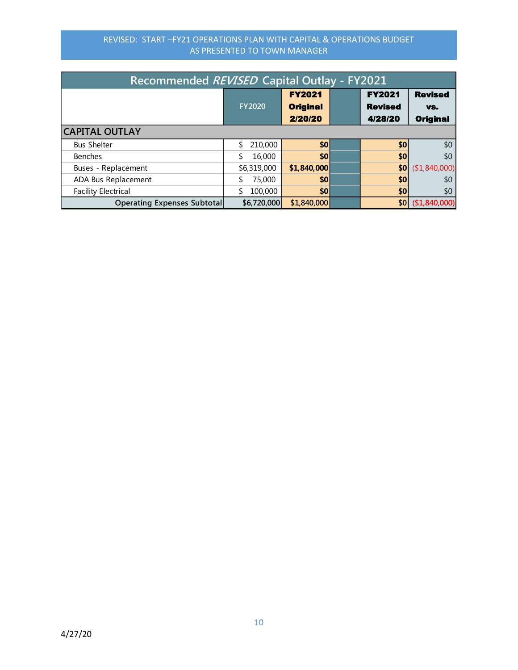| Recommended REVISED Capital Outlay - FY2021 |               |                                             |                                            |                                          |  |  |  |  |
|---------------------------------------------|---------------|---------------------------------------------|--------------------------------------------|------------------------------------------|--|--|--|--|
|                                             | <b>FY2020</b> | <b>FY2021</b><br><b>Original</b><br>2/20/20 | <b>FY2021</b><br><b>Revised</b><br>4/28/20 | <b>Revised</b><br>VS.<br><b>Original</b> |  |  |  |  |
| <b>CAPITAL OUTLAY</b>                       |               |                                             |                                            |                                          |  |  |  |  |
| <b>Bus Shelter</b>                          | 210,000       | \$0                                         | \$0                                        | \$0                                      |  |  |  |  |
| <b>Benches</b>                              | 16,000        | \$0                                         | \$0                                        | \$0                                      |  |  |  |  |
| Buses - Replacement                         | \$6,319,000   | \$1,840,000                                 | \$0                                        | (\$1,840,000)                            |  |  |  |  |
| ADA Bus Replacement                         | 75,000        | \$0                                         | \$0                                        | \$0                                      |  |  |  |  |
| <b>Facility Electrical</b>                  | 100,000       | \$0                                         | \$0                                        | \$0                                      |  |  |  |  |
| <b>Operating Expenses Subtotal</b>          | \$6,720,000   | \$1,840,000                                 |                                            | $ 160 $ (\$1,840,000)                    |  |  |  |  |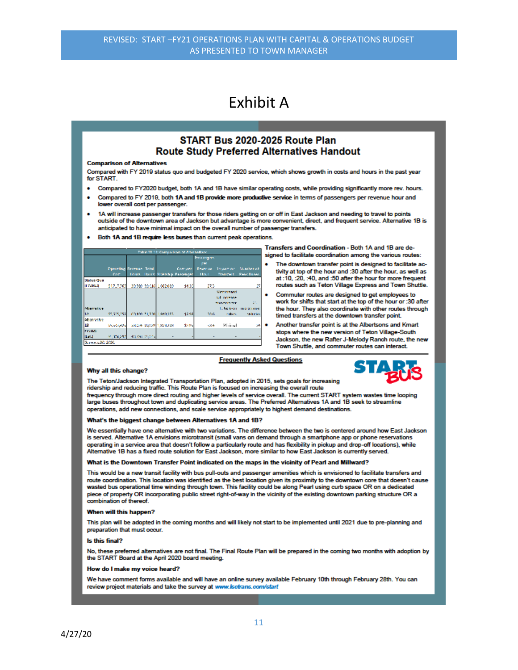## **Fxhibit A**

### START Bus 2020-2025 Route Plan **Route Study Preferred Alternatives Handout**

#### **Comparison of Alternatives**

Compared with FY 2019 status quo and budgeted FY 2020 service, which shows growth in costs and hours in the past year for START

- Compared to FY2020 budget, both 1A and 1B have similar operating costs, while providing significantly more rev. hours.
- Compared to FY 2019, both 1A and 1B provide more productive service in terms of passengers per revenue hour and lower overall cost per passenger.
- 1A will increase passenger transfers for those riders getting on or off in East Jackson and needing to travel to points outside of the downtown area of Jackson but advantage is more convenient, direct, and frequent service. Alternative 1B is anticipated to have minimal impact on the overall number of passenger transfers.
- Both 1A and 1B require less buses than current peak operations.

|                   | Table III 14: Comparison of Alternatives |          |  |                         |                           |                   |                    |                    |  |  |
|-------------------|------------------------------------------|----------|--|-------------------------|---------------------------|-------------------|--------------------|--------------------|--|--|
|                   |                                          |          |  |                         |                           | <b>Passengers</b> |                    |                    |  |  |
|                   |                                          |          |  |                         |                           | per               |                    |                    |  |  |
|                   | <b>Desirting Revenue Total</b>           |          |  |                         | Company                   | Revenue :         | Tripemon.          | Number of          |  |  |
|                   | Com                                      | Hours, 1 |  |                         | Hours Bidership Peasenger | Hour.             | <b>Transfers</b>   | <b>PAAR BUAN</b>   |  |  |
| <b>Status Que</b> |                                          |          |  |                         |                           |                   |                    |                    |  |  |
| 11/20121          | \$12,7202                                |          |  | 39/280 20:016 1:082.080 | 9400                      | 27.3              |                    | и                  |  |  |
|                   |                                          |          |  |                         |                           |                   | <b>Micromand</b>   |                    |  |  |
|                   |                                          |          |  |                         |                           |                   | William More       |                    |  |  |
|                   |                                          |          |  |                         |                           |                   | <b>TANK YES NO</b> | 51.                |  |  |
| <b>Observing</b>  |                                          |          |  |                         |                           |                   |                    | 1. School membrane |  |  |
| 18                | SALEMAN T                                |          |  | 60.100.21.200 1.849.355 | 4,797                     | 90.6              | ration.            | enterios.          |  |  |
| <b>OLEN 21MB</b>  |                                          |          |  |                         |                           |                   |                    |                    |  |  |
| ш                 | Startswich                               |          |  | SISOPE 60,079-1,878,888 | \$2.9%                    | 1700              | Mirinal            | SM.                |  |  |
| 192020            |                                          |          |  |                         |                           |                   |                    |                    |  |  |
| [1, 21, 1]        | 41 YO FEMALE REPORT ON CALL              |          |  |                         |                           |                   |                    |                    |  |  |
| Server 1,30, 50%  |                                          |          |  |                         |                           |                   |                    |                    |  |  |

Transfers and Coordination - Both 1A and 1B are designed to facilitate coordination among the various routes:

- The downtown transfer point is designed to facilitate activity at top of the hour and :30 after the hour, as well as at :10, :20, :40, and :50 after the hour for more frequent routes such as Teton Village Express and Town Shuttle.
- Commuter routes are designed to get employees to work for shifts that start at the top of the hour or :30 after the hour. They also coordinate with other routes through timed transfers at the downtown transfer point.
- Another transfer point is at the Albertsons and Kmart stops where the new version of Teton Village-South Jackson, the new Rafter J-Melody Ranch route, the new Town Shuttle, and commuter routes can interact.

#### **Frequently Asked Questions**

#### Why all this change?



The Teton/Jackson Integrated Transportation Plan, adopted in 2015, sets goals for increasing ridership and reducing traffic. This Route Plan is focused on increasing the overall route

frequency through more direct routing and higher levels of service overall. The current START system wastes time looping large buses throughout town and duplicating service areas. The Preferred Alternatives 1A and 1B seek to streamline operations, add new connections, and scale service appropriately to highest demand destinations.

#### What's the biggest change between Alternatives 1A and 1B?

We essentially have one alternative with two variations. The difference between the two is centered around how East Jackson is served. Alternative 1A envisions microtransit (small vans on demand through a smartphone app or phone reservations operating in a service area that doesn't follow a particularly route and has flexibility in pickup and drop-off locations), while Alternative 1B has a fixed route solution for East Jackson, more similar to how East Jackson is currently served.

#### What is the Downtown Transfer Point indicated on the maps in the vicinity of Pearl and Millward?

This would be a new transit facility with bus pull-outs and passenger amenities which is envisioned to facilitate transfers and route coordination. This location was identified as the best location given its proximity to the downtown core that doesn't cause wasted bus operational time winding through town. This facility could be along Pearl using curb space OR on a dedicated piece of property OR incorporating public street right-of-way in the vicinity of the existing downtown parking structure OR a combination of thereof.

#### When will this happen?

This plan will be adopted in the coming months and will likely not start to be implemented until 2021 due to pre-planning and preparation that must occur.

#### **Is this final**

No, these preferred alternatives are not final. The Final Route Plan will be prepared in the coming two months with adoption by the START Board at the April 2020 board meeting.

#### How do I make my voice heard?

We have comment forms available and will have an online survey available February 10th through February 28th. You can review project materials and take the survey at www.lsctrans.com/start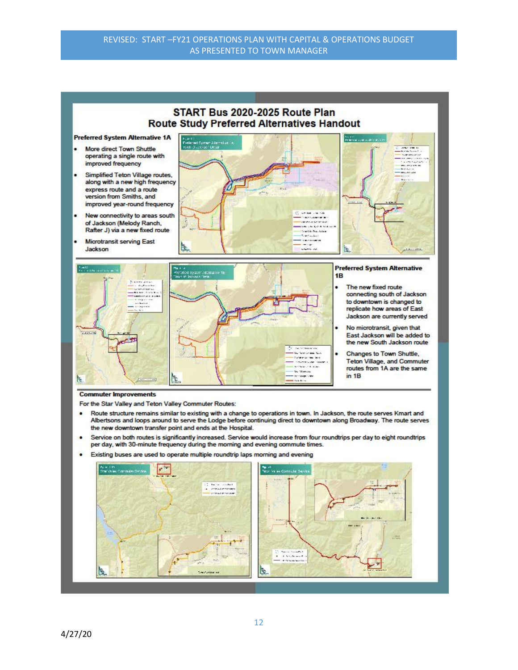## START Bus 2020-2025 Route Plan **Route Study Preferred Alternatives Handout**

**Preferred System Alternative 1A** 

- More direct Town Shuttle operating a single route with improved frequency
- Simplified Teton Village routes, along with a new high frequency express route and a route version from Smiths, and improved year-round frequency
- New connectivity to areas south of Jackson (Melody Ranch, Rafter J) via a new fixed route
- Microtransit serving East Jackson





### **Commuter Improvements**

For the Star Valley and Teton Valley Commuter Routes:

- Route structure remains similar to existing with a change to operations in town. In Jackson, the route serves Kmart and  $\bullet$ Albertsons and loops around to serve the Lodge before continuing direct to downtown along Broadway. The route serves the new downtown transfer point and ends at the Hospital.
- Service on both routes is significantly increased. Service would increase from four roundtrips per day to eight roundtrips per day, with 30-minute frequency during the morning and evening commute times.
- Existing buses are used to operate multiple roundtrip laps morning and evening  $\bullet$

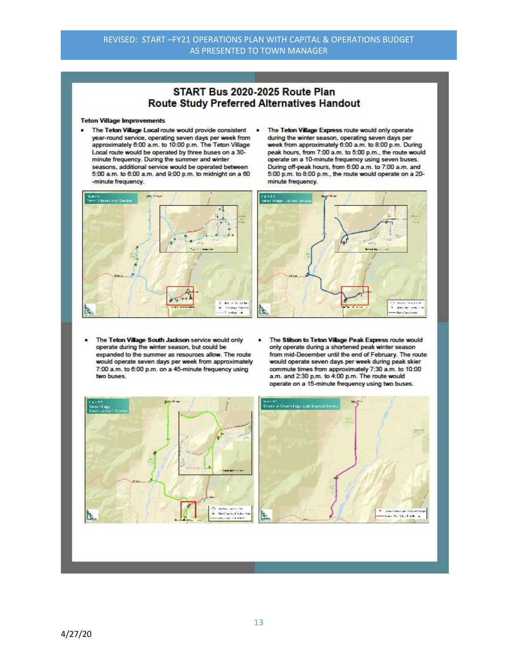## START Bus 2020-2025 Route Plan **Route Study Preferred Alternatives Handout**

#### **Teton Village Improvements**

- The Teton Village Local route would provide consistent . year-round service, operating seven days per week from<br>approximately 6:00 a.m. to 10:00 p.m. The Teton Village Local route would be operated by three buses on a 30minute frequency. During the summer and winter seasons, additional service would be operated between 5:00 a.m. to 6:00 a.m. and 9:00 p.m. to midnight on a 60 -minute frequency.
- The Teton Village Express route would only operate during the winter season, operating seven days per week from approximately 6:00 a.m. to 8:00 p.m. During peak hours, from 7:00 a.m. to 5:00 p.m., the route would operate on a 10-minute frequency using seven buses. During off-peak hours, from 6:00 a.m. to 7:00 a.m. and 5:00 p.m. to 8:00 p.m., the route would operate on a 20minute frequency.





- The Teton Village South Jackson service would only ٠ operate during the winter season, but could be expanded to the summer as resources allow. The route would operate seven days per week from approximately 7:00 a.m. to 6:00 p.m. on a 45-minute frequency using two buses.
- The Stilson to Teton Village Peak Express route would only operate during a shortened peak winter season from mid-December until the end of February. The route would operate seven days per week during peak skier commute times from approximately 7:30 a.m. to 10:00 a.m. and 2:30 p.m. to 4:00 p.m. The route would operate on a 15-minute frequency using two buses.

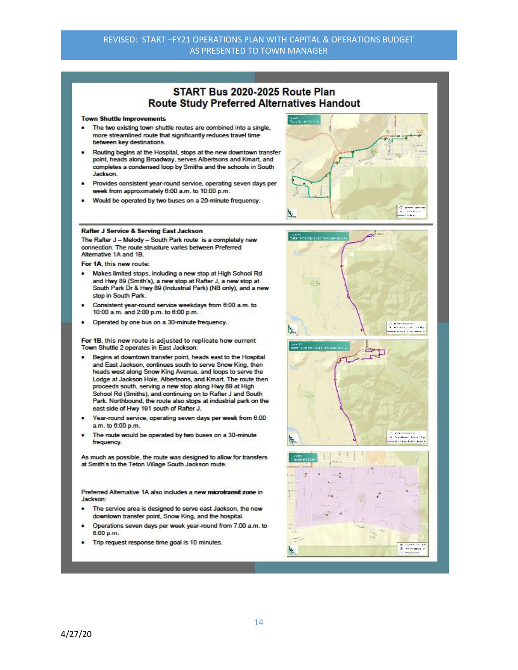### START Bus 2020-2025 Route Plan **Route Study Preferred Alternatives Handout**

#### **Town Shuttle Improvements**

- The two existing town shuttle routes are combined into a single. more streamlined route that significantly reduces travel time between key destinations.
- Routing begins at the Hospital, stops at the new downtown transfer point, heads along Broadway, serves Albertsons and Kmart, and completes a condensed loop by Smiths and the schools in South Jackson.
- Provides consistent year-round service, operating seven days per week from approximately 6:00 a.m. to 10:00 p.m.
- Would be operated by two buses on a 20-minute frequency.



### Rafter J Service & Serving East Jackson

The Rafter J - Melody - South Park route is a completely new connection. The route structure varies between Preferred Alternative 1A and 1B.

For 1A this new route:

- Makes limited stops, including a new stop at High School Rd  $\blacksquare$ and Hwy 89 (Smith's), a new stop at Rafter J, a new stop at South Park Dr & Hwy 89 (Industrial Park) (NB only), and a new stop in South Park.
- Consistent year-round service weekdays from 6:00 a.m. to ٠ 10:00 a.m. and 2:00 p.m. to 6:00 p.m.
- Operated by one bus on a 30-minute frequency...  $\bullet$

For 1B, this new route is adjusted to replicate how current Town Shuttle 2 operates in East Jackson:

- Begins at downtown transfer point, heads east to the Hospital and East Jackson, continues south to serve Snow King, then heads west along Snow King Avenue, and loops to serve the Lodge at Jackson Hole, Albertsons, and Kmart. The route then proceeds south, serving a new stop along Hwy 89 at High School Rd (Smiths), and continuing on to Rafter J and South Park. Northbound, the route also stops at industrial park on the east side of Hwy 191 south of Rafter J.
- Year-round service, operating seven days per week from 6:00 a.m. to 6:00 p.m.
- The route would be operated by two buses on a 30-minute frequency.

As much as possible, the route was designed to allow for transfers at Smith's to the Teton Village South Jackson route.

Preferred Alternative 1A also includes a new microtransit zone in Jackson:

- The service area is designed to serve east Jackson, the new downtown transfer point, Snow King, and the hospital.
- Operations seven days per week year-round from 7:00 a.m. to 8:00 p.m.
- Trip request response time goal is 10 minutes.





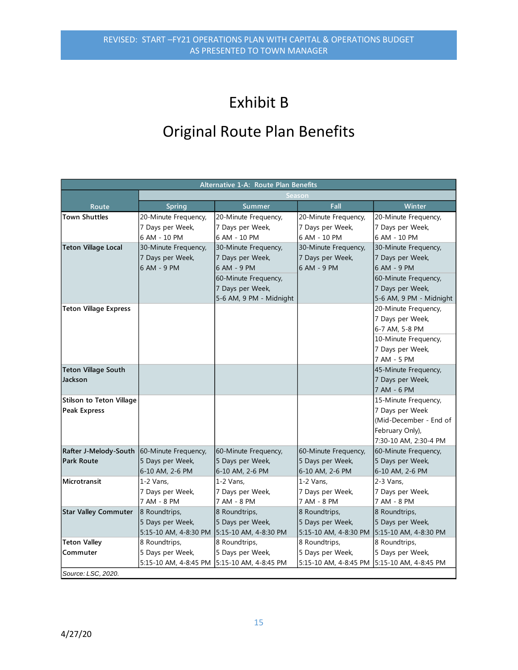# Exhibit B

## Original Route Plan Benefits

|                                            | Alternative 1-A: Route Plan Benefits |                         |                       |                         |  |  |  |  |  |
|--------------------------------------------|--------------------------------------|-------------------------|-----------------------|-------------------------|--|--|--|--|--|
|                                            |                                      |                         | Season                |                         |  |  |  |  |  |
| Route                                      | <b>Spring</b>                        | <b>Summer</b>           | Fall                  | Winter                  |  |  |  |  |  |
| <b>Town Shuttles</b>                       | 20-Minute Frequency,                 | 20-Minute Frequency,    | 20-Minute Frequency,  | 20-Minute Frequency,    |  |  |  |  |  |
|                                            | 7 Days per Week,                     | 7 Days per Week,        | 7 Days per Week,      | 7 Days per Week,        |  |  |  |  |  |
|                                            | 6 AM - 10 PM                         | 6 AM - 10 PM            | 6 AM - 10 PM          | 6 AM - 10 PM            |  |  |  |  |  |
| <b>Teton Village Local</b>                 | 30-Minute Frequency,                 | 30-Minute Frequency,    | 30-Minute Frequency,  | 30-Minute Frequency,    |  |  |  |  |  |
|                                            | 7 Days per Week,                     | 7 Days per Week,        | 7 Days per Week,      | 7 Days per Week,        |  |  |  |  |  |
|                                            | 6 AM - 9 PM                          | 6 AM - 9 PM             | 6 AM - 9 PM           | 6 AM - 9 PM             |  |  |  |  |  |
|                                            |                                      | 60-Minute Frequency,    |                       | 60-Minute Frequency,    |  |  |  |  |  |
|                                            |                                      | 7 Days per Week,        |                       | 7 Days per Week,        |  |  |  |  |  |
|                                            |                                      | 5-6 AM, 9 PM - Midnight |                       | 5-6 AM, 9 PM - Midnight |  |  |  |  |  |
| <b>Teton Village Express</b>               |                                      |                         |                       | 20-Minute Frequency,    |  |  |  |  |  |
|                                            |                                      |                         |                       | 7 Days per Week,        |  |  |  |  |  |
|                                            |                                      |                         |                       | 6-7 AM, 5-8 PM          |  |  |  |  |  |
|                                            |                                      |                         |                       | 10-Minute Frequency,    |  |  |  |  |  |
|                                            |                                      |                         |                       | 7 Days per Week,        |  |  |  |  |  |
|                                            |                                      |                         |                       | 7 AM - 5 PM             |  |  |  |  |  |
| <b>Teton Village South</b>                 |                                      |                         |                       | 45-Minute Frequency,    |  |  |  |  |  |
| Jackson                                    |                                      |                         |                       | 7 Days per Week,        |  |  |  |  |  |
|                                            |                                      |                         |                       | 7 AM - 6 PM             |  |  |  |  |  |
| <b>Stilson to Teton Village</b>            |                                      |                         |                       | 15-Minute Frequency,    |  |  |  |  |  |
| <b>Peak Express</b>                        |                                      |                         |                       | 7 Days per Week         |  |  |  |  |  |
|                                            |                                      |                         |                       | (Mid-December - End of  |  |  |  |  |  |
|                                            |                                      |                         |                       | February Only),         |  |  |  |  |  |
|                                            |                                      |                         |                       | 7:30-10 AM, 2:30-4 PM   |  |  |  |  |  |
| Rafter J-Melody-South 60-Minute Frequency, |                                      | 60-Minute Frequency,    | 60-Minute Frequency,  | 60-Minute Frequency,    |  |  |  |  |  |
| <b>Park Route</b>                          | 5 Days per Week,                     | 5 Days per Week,        | 5 Days per Week,      | 5 Days per Week,        |  |  |  |  |  |
|                                            | 6-10 AM, 2-6 PM                      | 6-10 AM, 2-6 PM         | 6-10 AM, 2-6 PM       | 6-10 AM, 2-6 PM         |  |  |  |  |  |
| Microtransit                               | $1-2$ Vans,                          | $1-2$ Vans,             | $1-2$ Vans,           | 2-3 Vans,               |  |  |  |  |  |
|                                            | 7 Days per Week,                     | 7 Days per Week,        | 7 Days per Week,      | 7 Days per Week,        |  |  |  |  |  |
|                                            | 7 AM - 8 PM                          | 7 AM - 8 PM             | 7 AM - 8 PM           | 7 AM - 8 PM             |  |  |  |  |  |
| <b>Star Valley Commuter</b>                | 8 Roundtrips,                        | 8 Roundtrips,           | 8 Roundtrips,         | 8 Roundtrips,           |  |  |  |  |  |
|                                            | 5 Days per Week,                     | 5 Days per Week,        | 5 Days per Week,      | 5 Days per Week,        |  |  |  |  |  |
|                                            | 5:15-10 AM, 4-8:30 PM                | 5:15-10 AM, 4-8:30 PM   | 5:15-10 AM, 4-8:30 PM | 5:15-10 AM, 4-8:30 PM   |  |  |  |  |  |
| <b>Teton Valley</b>                        | 8 Roundtrips,                        | 8 Roundtrips,           | 8 Roundtrips,         | 8 Roundtrips,           |  |  |  |  |  |
| Commuter                                   | 5 Days per Week,                     | 5 Days per Week,        | 5 Days per Week,      | 5 Days per Week,        |  |  |  |  |  |
|                                            | 5:15-10 AM, 4-8:45 PM                | 5:15-10 AM, 4-8:45 PM   | 5:15-10 AM, 4-8:45 PM | 5:15-10 AM, 4-8:45 PM   |  |  |  |  |  |
| Source: LSC. 2020.                         |                                      |                         |                       |                         |  |  |  |  |  |